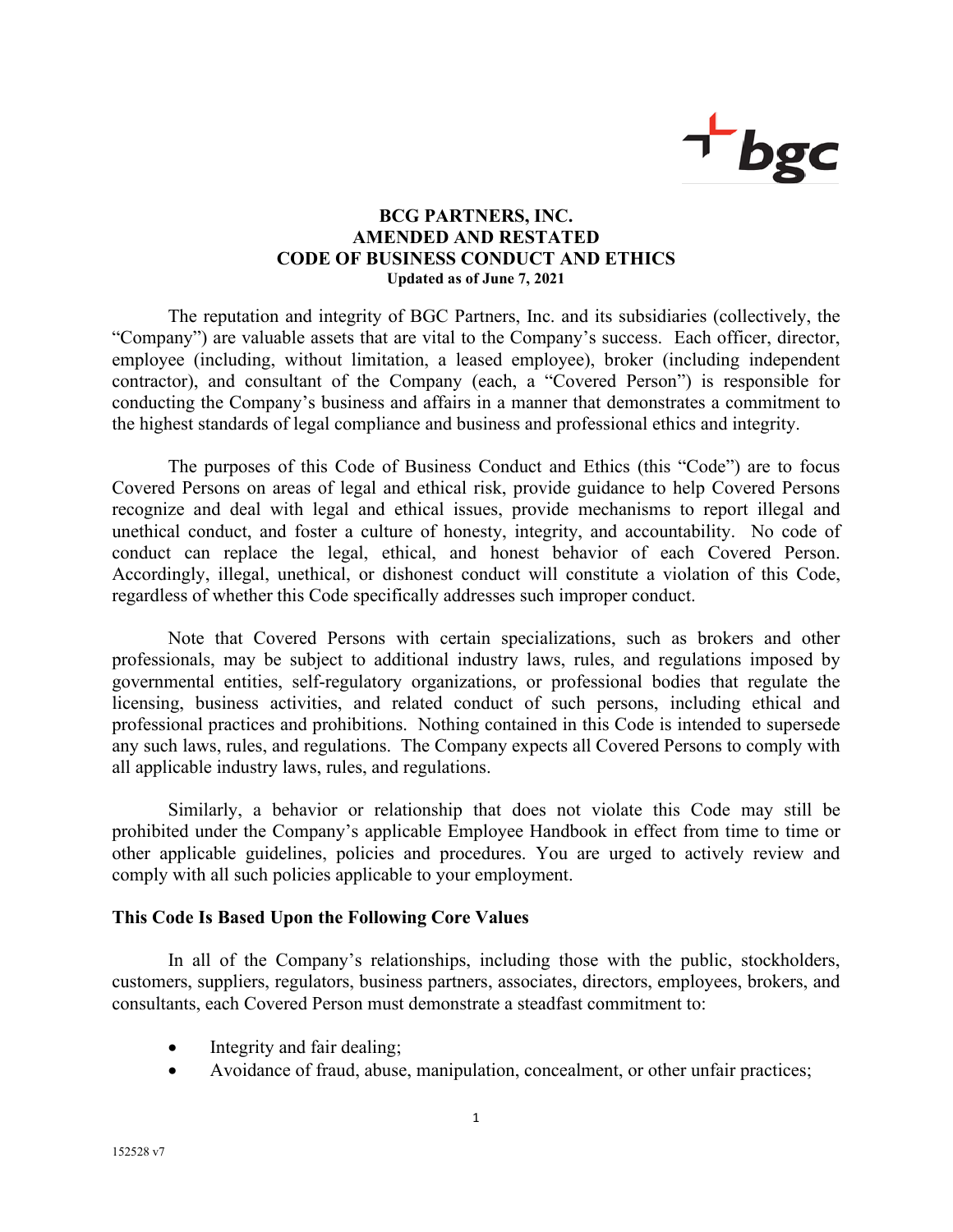

## **BCG PARTNERS, INC. AMENDED AND RESTATED CODE OF BUSINESS CONDUCT AND ETHICS Updated as of June 7, 2021**

The reputation and integrity of BGC Partners, Inc. and its subsidiaries (collectively, the "Company") are valuable assets that are vital to the Company's success. Each officer, director, employee (including, without limitation, a leased employee), broker (including independent contractor), and consultant of the Company (each, a "Covered Person") is responsible for conducting the Company's business and affairs in a manner that demonstrates a commitment to the highest standards of legal compliance and business and professional ethics and integrity.

The purposes of this Code of Business Conduct and Ethics (this "Code") are to focus Covered Persons on areas of legal and ethical risk, provide guidance to help Covered Persons recognize and deal with legal and ethical issues, provide mechanisms to report illegal and unethical conduct, and foster a culture of honesty, integrity, and accountability. No code of conduct can replace the legal, ethical, and honest behavior of each Covered Person. Accordingly, illegal, unethical, or dishonest conduct will constitute a violation of this Code, regardless of whether this Code specifically addresses such improper conduct.

Note that Covered Persons with certain specializations, such as brokers and other professionals, may be subject to additional industry laws, rules, and regulations imposed by governmental entities, self-regulatory organizations, or professional bodies that regulate the licensing, business activities, and related conduct of such persons, including ethical and professional practices and prohibitions. Nothing contained in this Code is intended to supersede any such laws, rules, and regulations. The Company expects all Covered Persons to comply with all applicable industry laws, rules, and regulations.

Similarly, a behavior or relationship that does not violate this Code may still be prohibited under the Company's applicable Employee Handbook in effect from time to time or other applicable guidelines, policies and procedures. You are urged to actively review and comply with all such policies applicable to your employment.

## **This Code Is Based Upon the Following Core Values**

In all of the Company's relationships, including those with the public, stockholders, customers, suppliers, regulators, business partners, associates, directors, employees, brokers, and consultants, each Covered Person must demonstrate a steadfast commitment to:

- Integrity and fair dealing;
- Avoidance of fraud, abuse, manipulation, concealment, or other unfair practices;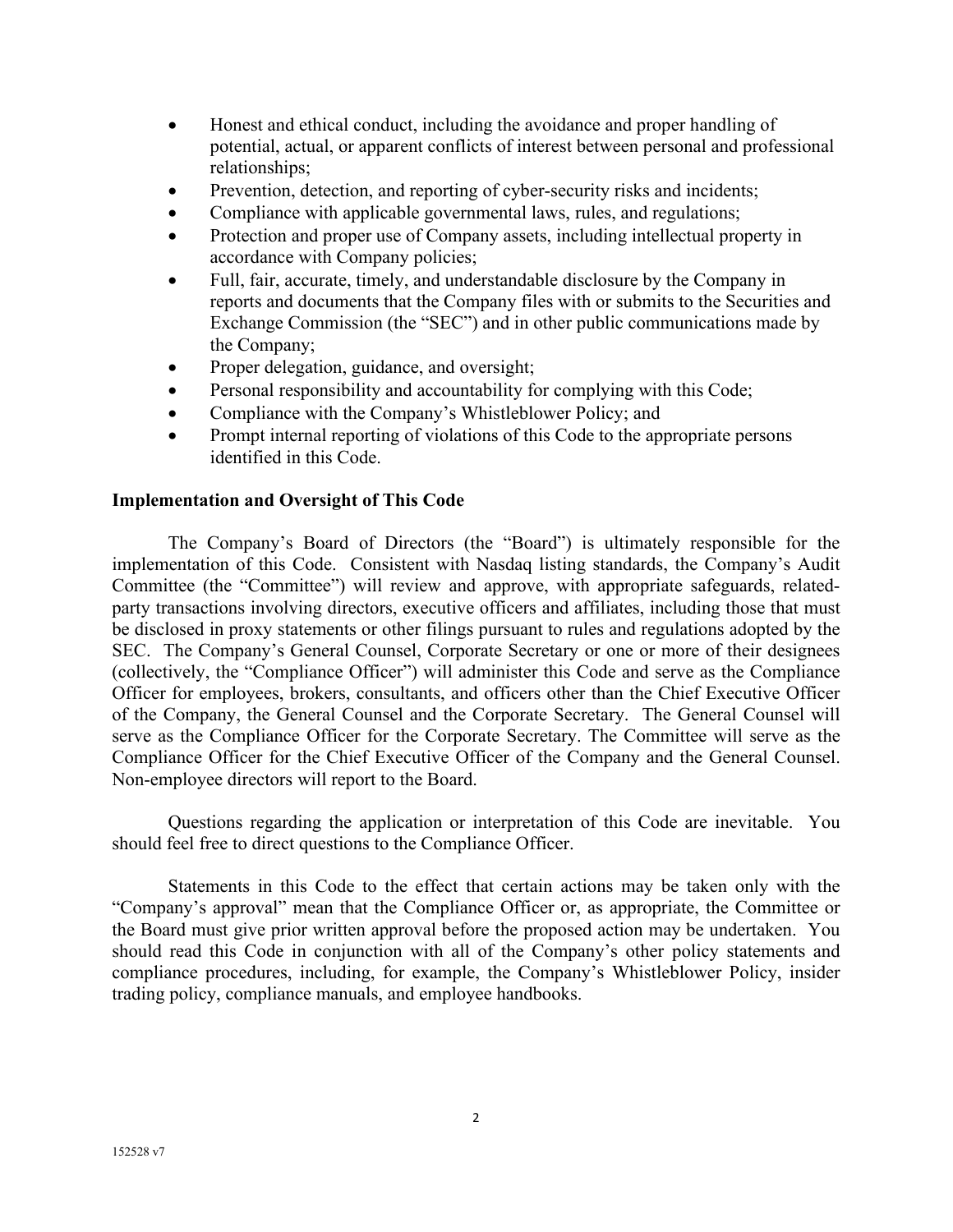- Honest and ethical conduct, including the avoidance and proper handling of potential, actual, or apparent conflicts of interest between personal and professional relationships;
- Prevention, detection, and reporting of cyber-security risks and incidents;
- Compliance with applicable governmental laws, rules, and regulations;
- Protection and proper use of Company assets, including intellectual property in accordance with Company policies;
- Full, fair, accurate, timely, and understandable disclosure by the Company in reports and documents that the Company files with or submits to the Securities and Exchange Commission (the "SEC") and in other public communications made by the Company;
- Proper delegation, guidance, and oversight;
- Personal responsibility and accountability for complying with this Code;
- Compliance with the Company's Whistleblower Policy; and
- Prompt internal reporting of violations of this Code to the appropriate persons identified in this Code.

## **Implementation and Oversight of This Code**

The Company's Board of Directors (the "Board") is ultimately responsible for the implementation of this Code. Consistent with Nasdaq listing standards, the Company's Audit Committee (the "Committee") will review and approve, with appropriate safeguards, relatedparty transactions involving directors, executive officers and affiliates, including those that must be disclosed in proxy statements or other filings pursuant to rules and regulations adopted by the SEC. The Company's General Counsel, Corporate Secretary or one or more of their designees (collectively, the "Compliance Officer") will administer this Code and serve as the Compliance Officer for employees, brokers, consultants, and officers other than the Chief Executive Officer of the Company, the General Counsel and the Corporate Secretary. The General Counsel will serve as the Compliance Officer for the Corporate Secretary. The Committee will serve as the Compliance Officer for the Chief Executive Officer of the Company and the General Counsel. Non-employee directors will report to the Board.

Questions regarding the application or interpretation of this Code are inevitable. You should feel free to direct questions to the Compliance Officer.

Statements in this Code to the effect that certain actions may be taken only with the "Company's approval" mean that the Compliance Officer or, as appropriate, the Committee or the Board must give prior written approval before the proposed action may be undertaken. You should read this Code in conjunction with all of the Company's other policy statements and compliance procedures, including, for example, the Company's Whistleblower Policy, insider trading policy, compliance manuals, and employee handbooks.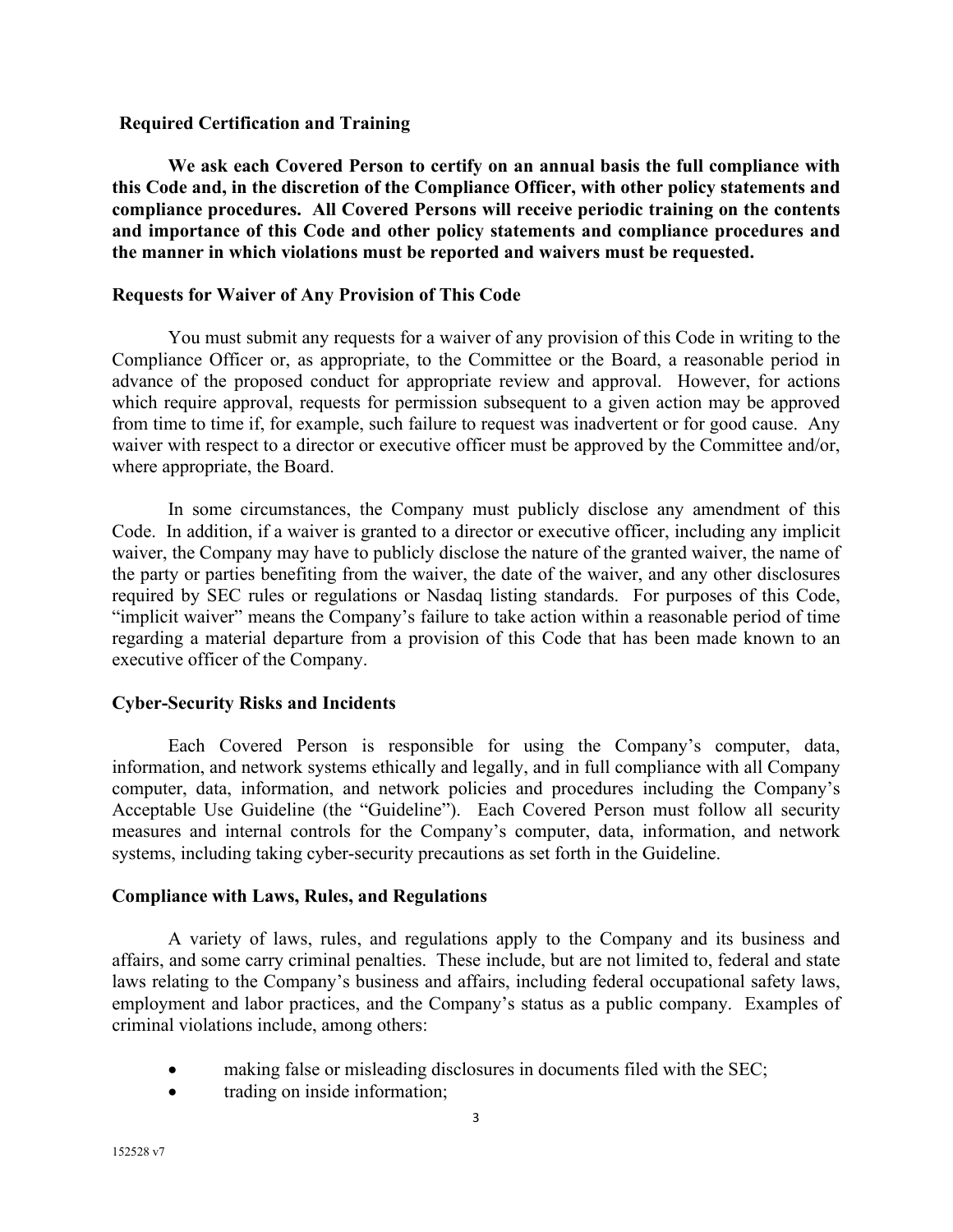#### **Required Certification and Training**

**We ask each Covered Person to certify on an annual basis the full compliance with this Code and, in the discretion of the Compliance Officer, with other policy statements and compliance procedures. All Covered Persons will receive periodic training on the contents and importance of this Code and other policy statements and compliance procedures and the manner in which violations must be reported and waivers must be requested.**

## **Requests for Waiver of Any Provision of This Code**

You must submit any requests for a waiver of any provision of this Code in writing to the Compliance Officer or, as appropriate, to the Committee or the Board, a reasonable period in advance of the proposed conduct for appropriate review and approval. However, for actions which require approval, requests for permission subsequent to a given action may be approved from time to time if, for example, such failure to request was inadvertent or for good cause. Any waiver with respect to a director or executive officer must be approved by the Committee and/or, where appropriate, the Board.

In some circumstances, the Company must publicly disclose any amendment of this Code. In addition, if a waiver is granted to a director or executive officer, including any implicit waiver, the Company may have to publicly disclose the nature of the granted waiver, the name of the party or parties benefiting from the waiver, the date of the waiver, and any other disclosures required by SEC rules or regulations or Nasdaq listing standards. For purposes of this Code, "implicit waiver" means the Company's failure to take action within a reasonable period of time regarding a material departure from a provision of this Code that has been made known to an executive officer of the Company.

## **Cyber-Security Risks and Incidents**

Each Covered Person is responsible for using the Company's computer, data, information, and network systems ethically and legally, and in full compliance with all Company computer, data, information, and network policies and procedures including the Company's Acceptable Use Guideline (the "Guideline"). Each Covered Person must follow all security measures and internal controls for the Company's computer, data, information, and network systems, including taking cyber-security precautions as set forth in the Guideline.

## **Compliance with Laws, Rules, and Regulations**

A variety of laws, rules, and regulations apply to the Company and its business and affairs, and some carry criminal penalties. These include, but are not limited to, federal and state laws relating to the Company's business and affairs, including federal occupational safety laws, employment and labor practices, and the Company's status as a public company. Examples of criminal violations include, among others:

- making false or misleading disclosures in documents filed with the SEC;
- trading on inside information;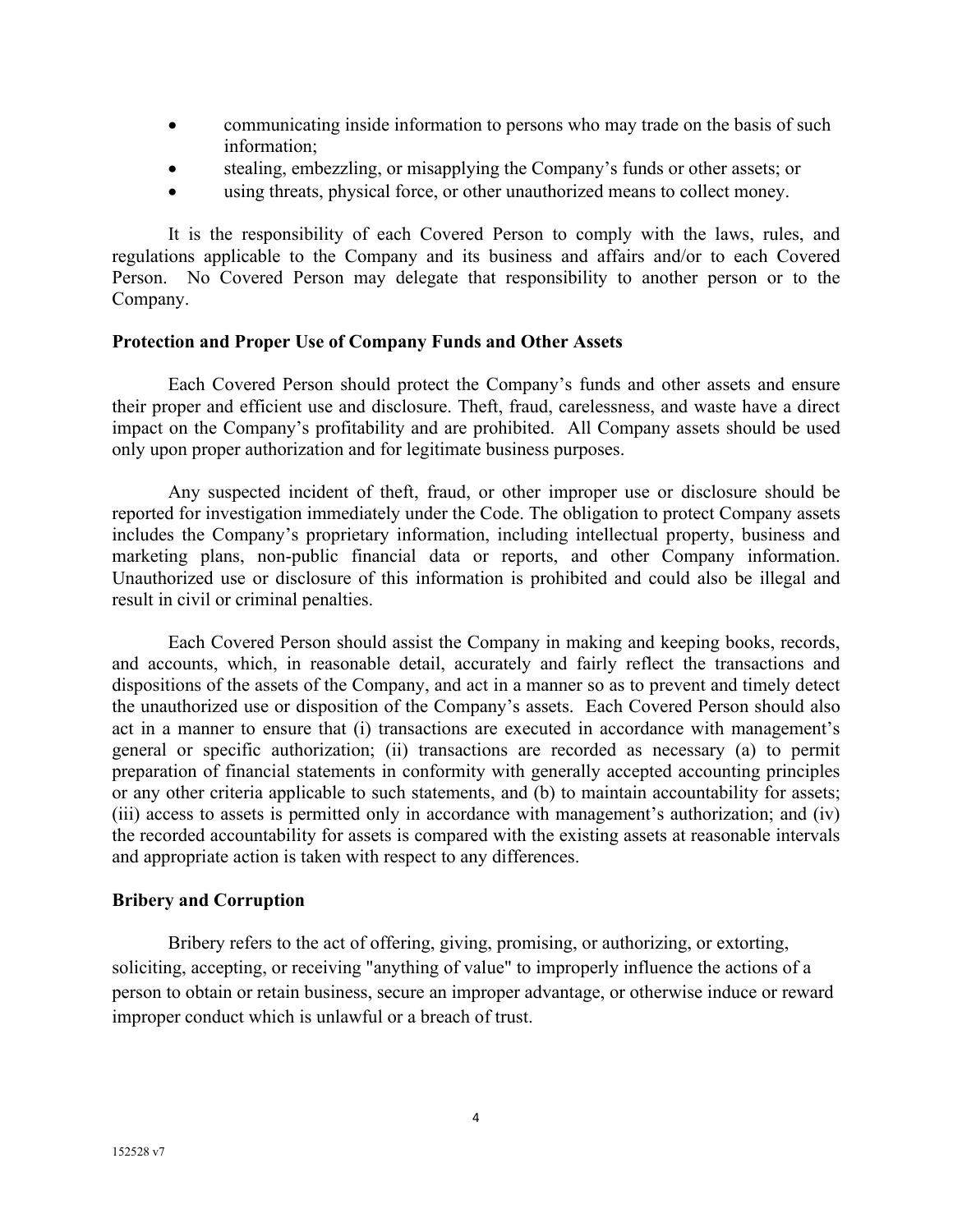- communicating inside information to persons who may trade on the basis of such information;
- stealing, embezzling, or misapplying the Company's funds or other assets; or
- using threats, physical force, or other unauthorized means to collect money.

It is the responsibility of each Covered Person to comply with the laws, rules, and regulations applicable to the Company and its business and affairs and/or to each Covered Person. No Covered Person may delegate that responsibility to another person or to the Company.

## **Protection and Proper Use of Company Funds and Other Assets**

Each Covered Person should protect the Company's funds and other assets and ensure their proper and efficient use and disclosure. Theft, fraud, carelessness, and waste have a direct impact on the Company's profitability and are prohibited. All Company assets should be used only upon proper authorization and for legitimate business purposes.

Any suspected incident of theft, fraud, or other improper use or disclosure should be reported for investigation immediately under the Code. The obligation to protect Company assets includes the Company's proprietary information, including intellectual property, business and marketing plans, non-public financial data or reports, and other Company information. Unauthorized use or disclosure of this information is prohibited and could also be illegal and result in civil or criminal penalties.

Each Covered Person should assist the Company in making and keeping books, records, and accounts, which, in reasonable detail, accurately and fairly reflect the transactions and dispositions of the assets of the Company, and act in a manner so as to prevent and timely detect the unauthorized use or disposition of the Company's assets. Each Covered Person should also act in a manner to ensure that (i) transactions are executed in accordance with management's general or specific authorization; (ii) transactions are recorded as necessary (a) to permit preparation of financial statements in conformity with generally accepted accounting principles or any other criteria applicable to such statements, and (b) to maintain accountability for assets; (iii) access to assets is permitted only in accordance with management's authorization; and (iv) the recorded accountability for assets is compared with the existing assets at reasonable intervals and appropriate action is taken with respect to any differences.

## **Bribery and Corruption**

Bribery refers to the act of offering, giving, promising, or authorizing, or extorting, soliciting, accepting, or receiving "anything of value" to improperly influence the actions of a person to obtain or retain business, secure an improper advantage, or otherwise induce or reward improper conduct which is unlawful or a breach of trust.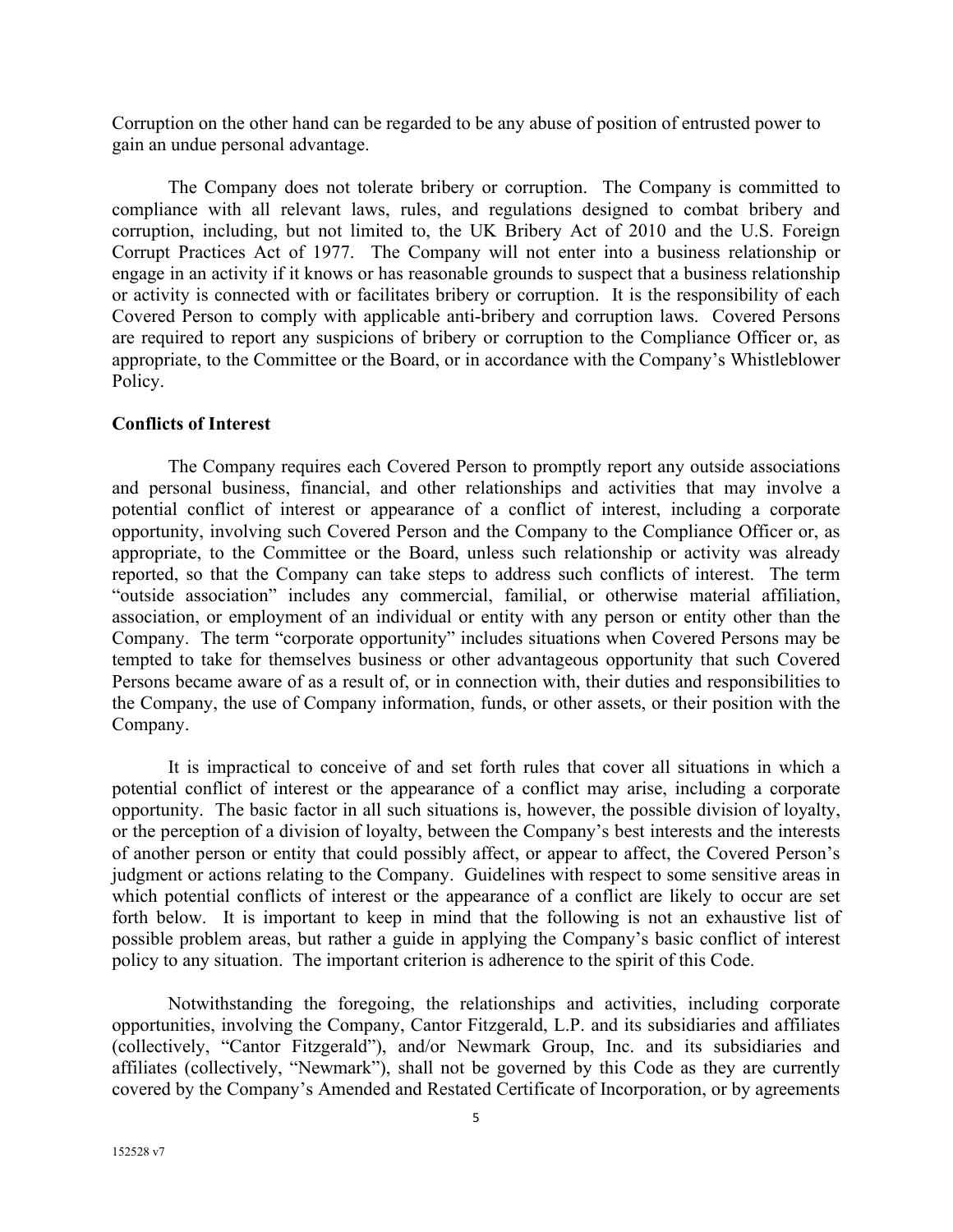Corruption on the other hand can be regarded to be any abuse of position of entrusted power to gain an undue personal advantage.

The Company does not tolerate bribery or corruption. The Company is committed to compliance with all relevant laws, rules, and regulations designed to combat bribery and corruption, including, but not limited to, the UK Bribery Act of 2010 and the U.S. Foreign Corrupt Practices Act of 1977. The Company will not enter into a business relationship or engage in an activity if it knows or has reasonable grounds to suspect that a business relationship or activity is connected with or facilitates bribery or corruption. It is the responsibility of each Covered Person to comply with applicable anti-bribery and corruption laws. Covered Persons are required to report any suspicions of bribery or corruption to the Compliance Officer or, as appropriate, to the Committee or the Board, or in accordance with the Company's Whistleblower Policy.

#### **Conflicts of Interest**

The Company requires each Covered Person to promptly report any outside associations and personal business, financial, and other relationships and activities that may involve a potential conflict of interest or appearance of a conflict of interest, including a corporate opportunity, involving such Covered Person and the Company to the Compliance Officer or, as appropriate, to the Committee or the Board, unless such relationship or activity was already reported, so that the Company can take steps to address such conflicts of interest. The term "outside association" includes any commercial, familial, or otherwise material affiliation, association, or employment of an individual or entity with any person or entity other than the Company. The term "corporate opportunity" includes situations when Covered Persons may be tempted to take for themselves business or other advantageous opportunity that such Covered Persons became aware of as a result of, or in connection with, their duties and responsibilities to the Company, the use of Company information, funds, or other assets, or their position with the Company.

It is impractical to conceive of and set forth rules that cover all situations in which a potential conflict of interest or the appearance of a conflict may arise, including a corporate opportunity. The basic factor in all such situations is, however, the possible division of loyalty, or the perception of a division of loyalty, between the Company's best interests and the interests of another person or entity that could possibly affect, or appear to affect, the Covered Person's judgment or actions relating to the Company. Guidelines with respect to some sensitive areas in which potential conflicts of interest or the appearance of a conflict are likely to occur are set forth below. It is important to keep in mind that the following is not an exhaustive list of possible problem areas, but rather a guide in applying the Company's basic conflict of interest policy to any situation. The important criterion is adherence to the spirit of this Code.

Notwithstanding the foregoing, the relationships and activities, including corporate opportunities, involving the Company, Cantor Fitzgerald, L.P. and its subsidiaries and affiliates (collectively, "Cantor Fitzgerald"), and/or Newmark Group, Inc. and its subsidiaries and affiliates (collectively, "Newmark"), shall not be governed by this Code as they are currently covered by the Company's Amended and Restated Certificate of Incorporation, or by agreements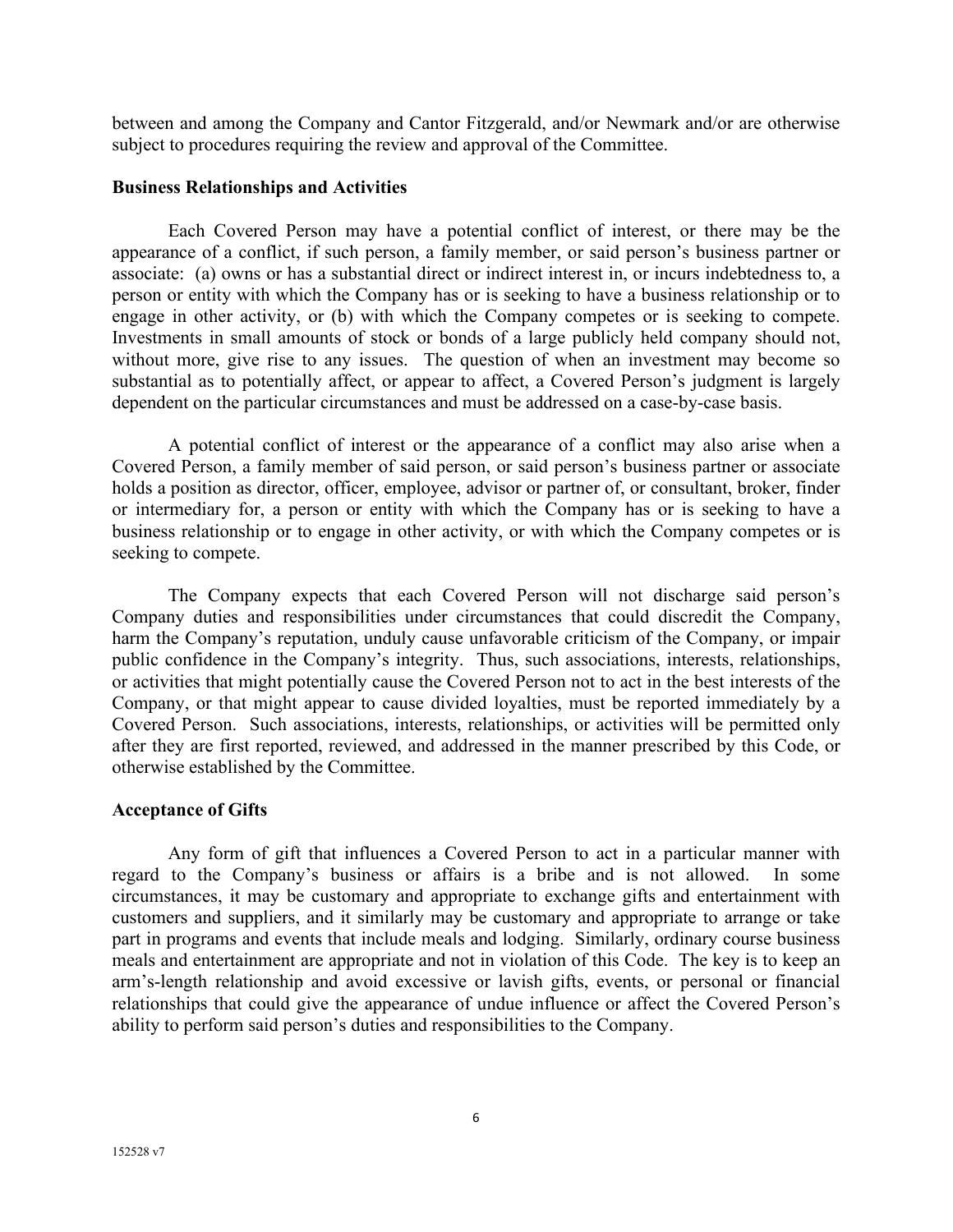between and among the Company and Cantor Fitzgerald, and/or Newmark and/or are otherwise subject to procedures requiring the review and approval of the Committee.

## **Business Relationships and Activities**

Each Covered Person may have a potential conflict of interest, or there may be the appearance of a conflict, if such person, a family member, or said person's business partner or associate: (a) owns or has a substantial direct or indirect interest in, or incurs indebtedness to, a person or entity with which the Company has or is seeking to have a business relationship or to engage in other activity, or (b) with which the Company competes or is seeking to compete. Investments in small amounts of stock or bonds of a large publicly held company should not, without more, give rise to any issues. The question of when an investment may become so substantial as to potentially affect, or appear to affect, a Covered Person's judgment is largely dependent on the particular circumstances and must be addressed on a case-by-case basis.

A potential conflict of interest or the appearance of a conflict may also arise when a Covered Person, a family member of said person, or said person's business partner or associate holds a position as director, officer, employee, advisor or partner of, or consultant, broker, finder or intermediary for, a person or entity with which the Company has or is seeking to have a business relationship or to engage in other activity, or with which the Company competes or is seeking to compete.

The Company expects that each Covered Person will not discharge said person's Company duties and responsibilities under circumstances that could discredit the Company, harm the Company's reputation, unduly cause unfavorable criticism of the Company, or impair public confidence in the Company's integrity. Thus, such associations, interests, relationships, or activities that might potentially cause the Covered Person not to act in the best interests of the Company, or that might appear to cause divided loyalties, must be reported immediately by a Covered Person. Such associations, interests, relationships, or activities will be permitted only after they are first reported, reviewed, and addressed in the manner prescribed by this Code, or otherwise established by the Committee.

## **Acceptance of Gifts**

Any form of gift that influences a Covered Person to act in a particular manner with regard to the Company's business or affairs is a bribe and is not allowed. In some circumstances, it may be customary and appropriate to exchange gifts and entertainment with customers and suppliers, and it similarly may be customary and appropriate to arrange or take part in programs and events that include meals and lodging. Similarly, ordinary course business meals and entertainment are appropriate and not in violation of this Code. The key is to keep an arm's-length relationship and avoid excessive or lavish gifts, events, or personal or financial relationships that could give the appearance of undue influence or affect the Covered Person's ability to perform said person's duties and responsibilities to the Company.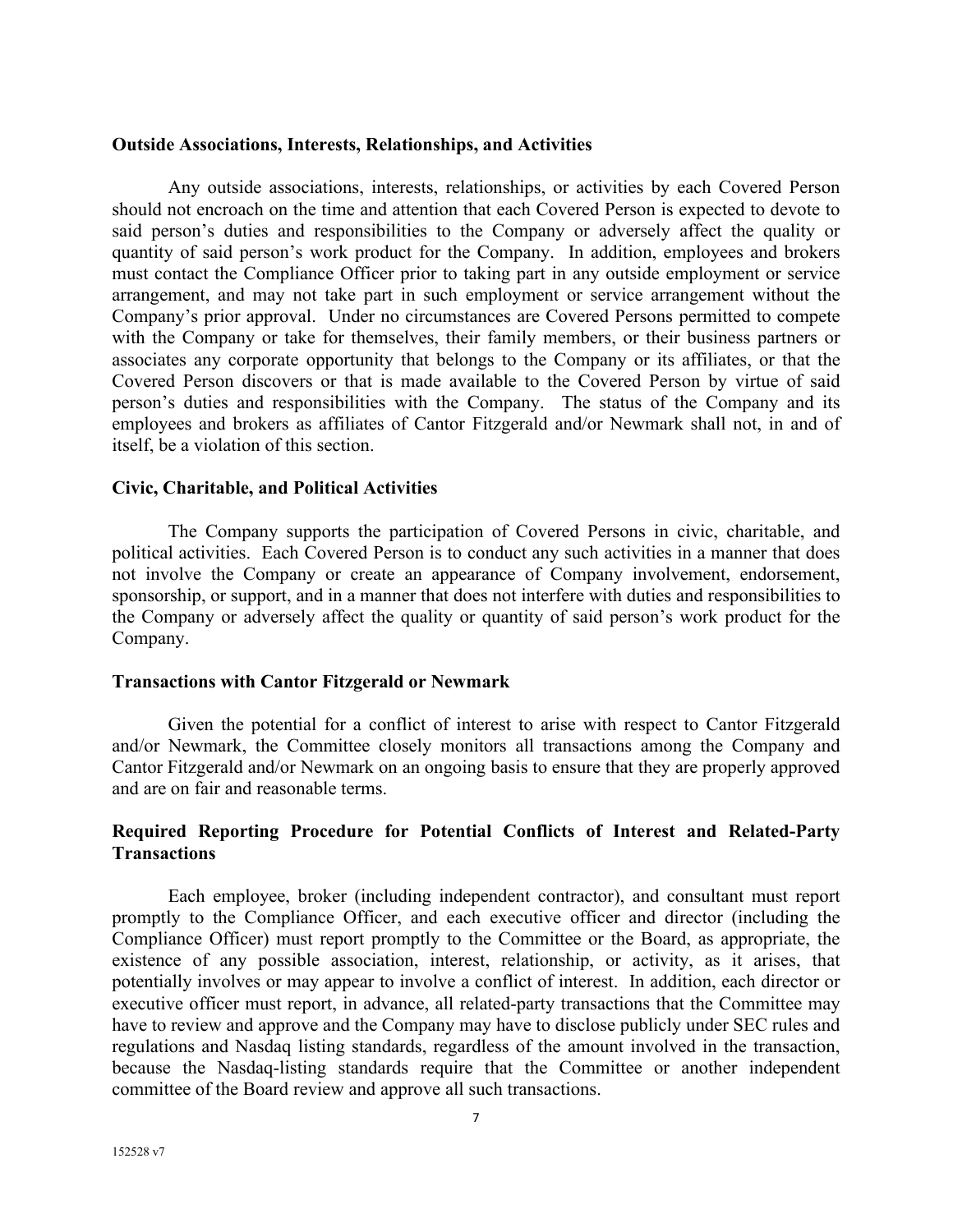#### **Outside Associations, Interests, Relationships, and Activities**

Any outside associations, interests, relationships, or activities by each Covered Person should not encroach on the time and attention that each Covered Person is expected to devote to said person's duties and responsibilities to the Company or adversely affect the quality or quantity of said person's work product for the Company. In addition, employees and brokers must contact the Compliance Officer prior to taking part in any outside employment or service arrangement, and may not take part in such employment or service arrangement without the Company's prior approval. Under no circumstances are Covered Persons permitted to compete with the Company or take for themselves, their family members, or their business partners or associates any corporate opportunity that belongs to the Company or its affiliates, or that the Covered Person discovers or that is made available to the Covered Person by virtue of said person's duties and responsibilities with the Company. The status of the Company and its employees and brokers as affiliates of Cantor Fitzgerald and/or Newmark shall not, in and of itself, be a violation of this section.

#### **Civic, Charitable, and Political Activities**

The Company supports the participation of Covered Persons in civic, charitable, and political activities. Each Covered Person is to conduct any such activities in a manner that does not involve the Company or create an appearance of Company involvement, endorsement, sponsorship, or support, and in a manner that does not interfere with duties and responsibilities to the Company or adversely affect the quality or quantity of said person's work product for the Company.

#### **Transactions with Cantor Fitzgerald or Newmark**

Given the potential for a conflict of interest to arise with respect to Cantor Fitzgerald and/or Newmark, the Committee closely monitors all transactions among the Company and Cantor Fitzgerald and/or Newmark on an ongoing basis to ensure that they are properly approved and are on fair and reasonable terms.

## **Required Reporting Procedure for Potential Conflicts of Interest and Related-Party Transactions**

Each employee, broker (including independent contractor), and consultant must report promptly to the Compliance Officer, and each executive officer and director (including the Compliance Officer) must report promptly to the Committee or the Board, as appropriate, the existence of any possible association, interest, relationship, or activity, as it arises, that potentially involves or may appear to involve a conflict of interest. In addition, each director or executive officer must report, in advance, all related-party transactions that the Committee may have to review and approve and the Company may have to disclose publicly under SEC rules and regulations and Nasdaq listing standards, regardless of the amount involved in the transaction, because the Nasdaq-listing standards require that the Committee or another independent committee of the Board review and approve all such transactions.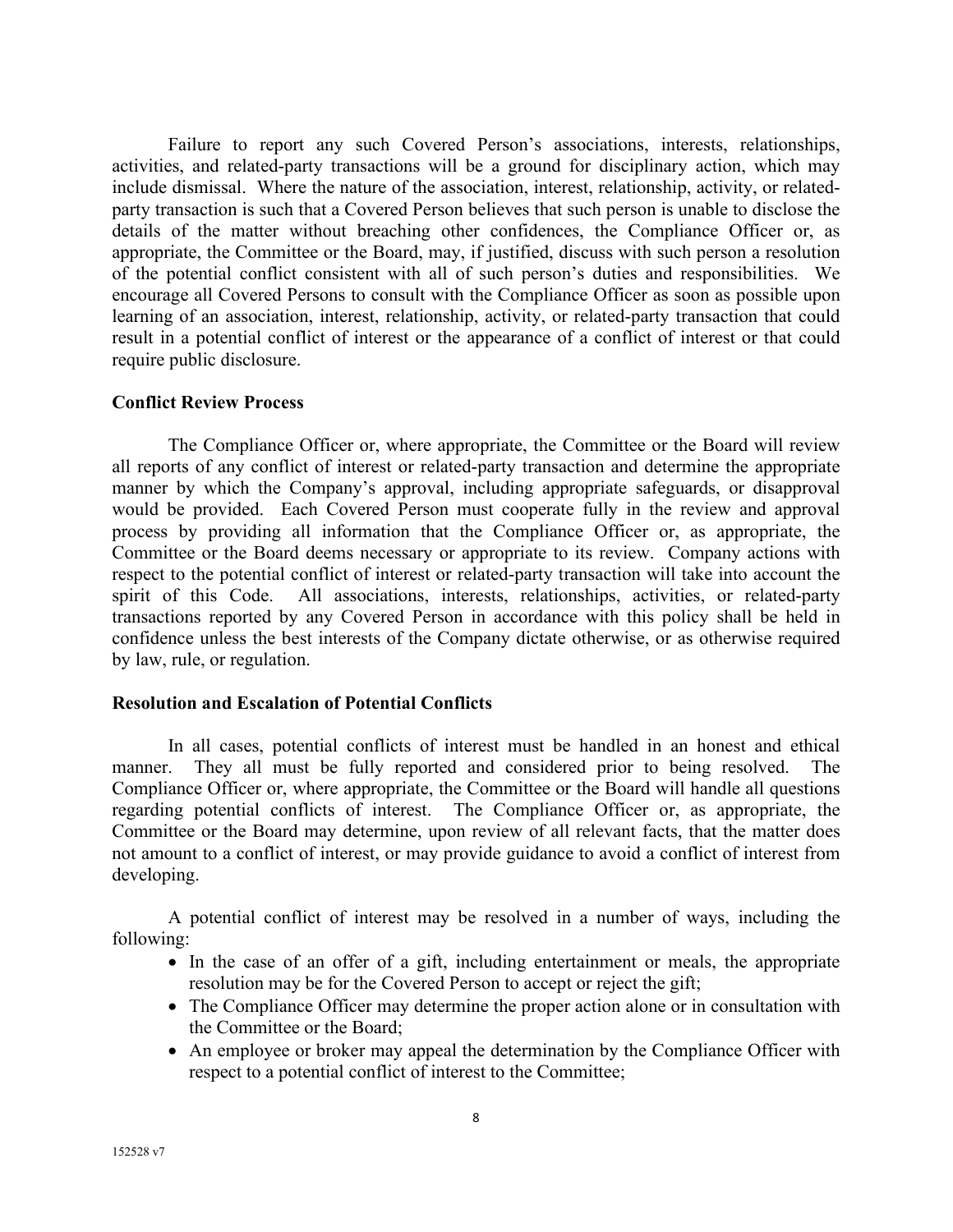Failure to report any such Covered Person's associations, interests, relationships, activities, and related-party transactions will be a ground for disciplinary action, which may include dismissal. Where the nature of the association, interest, relationship, activity, or relatedparty transaction is such that a Covered Person believes that such person is unable to disclose the details of the matter without breaching other confidences, the Compliance Officer or, as appropriate, the Committee or the Board, may, if justified, discuss with such person a resolution of the potential conflict consistent with all of such person's duties and responsibilities. We encourage all Covered Persons to consult with the Compliance Officer as soon as possible upon learning of an association, interest, relationship, activity, or related-party transaction that could result in a potential conflict of interest or the appearance of a conflict of interest or that could require public disclosure.

## **Conflict Review Process**

The Compliance Officer or, where appropriate, the Committee or the Board will review all reports of any conflict of interest or related-party transaction and determine the appropriate manner by which the Company's approval, including appropriate safeguards, or disapproval would be provided. Each Covered Person must cooperate fully in the review and approval process by providing all information that the Compliance Officer or, as appropriate, the Committee or the Board deems necessary or appropriate to its review. Company actions with respect to the potential conflict of interest or related-party transaction will take into account the spirit of this Code. All associations, interests, relationships, activities, or related-party transactions reported by any Covered Person in accordance with this policy shall be held in confidence unless the best interests of the Company dictate otherwise, or as otherwise required by law, rule, or regulation.

## **Resolution and Escalation of Potential Conflicts**

In all cases, potential conflicts of interest must be handled in an honest and ethical manner. They all must be fully reported and considered prior to being resolved. The Compliance Officer or, where appropriate, the Committee or the Board will handle all questions regarding potential conflicts of interest. The Compliance Officer or, as appropriate, the Committee or the Board may determine, upon review of all relevant facts, that the matter does not amount to a conflict of interest, or may provide guidance to avoid a conflict of interest from developing.

A potential conflict of interest may be resolved in a number of ways, including the following:

- In the case of an offer of a gift, including entertainment or meals, the appropriate resolution may be for the Covered Person to accept or reject the gift;
- The Compliance Officer may determine the proper action alone or in consultation with the Committee or the Board;
- An employee or broker may appeal the determination by the Compliance Officer with respect to a potential conflict of interest to the Committee;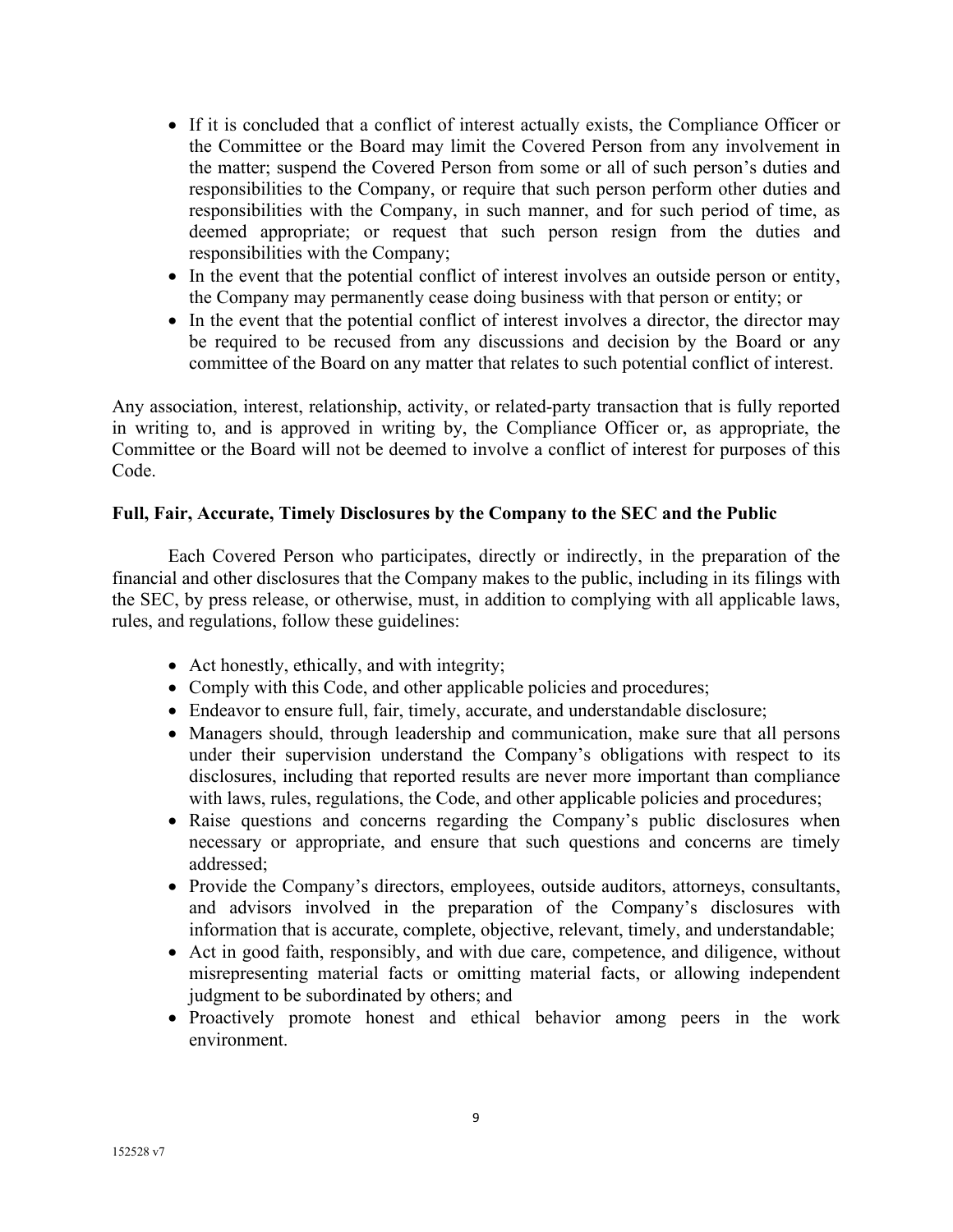- If it is concluded that a conflict of interest actually exists, the Compliance Officer or the Committee or the Board may limit the Covered Person from any involvement in the matter; suspend the Covered Person from some or all of such person's duties and responsibilities to the Company, or require that such person perform other duties and responsibilities with the Company, in such manner, and for such period of time, as deemed appropriate; or request that such person resign from the duties and responsibilities with the Company;
- In the event that the potential conflict of interest involves an outside person or entity, the Company may permanently cease doing business with that person or entity; or
- In the event that the potential conflict of interest involves a director, the director may be required to be recused from any discussions and decision by the Board or any committee of the Board on any matter that relates to such potential conflict of interest.

Any association, interest, relationship, activity, or related-party transaction that is fully reported in writing to, and is approved in writing by, the Compliance Officer or, as appropriate, the Committee or the Board will not be deemed to involve a conflict of interest for purposes of this Code.

## **Full, Fair, Accurate, Timely Disclosures by the Company to the SEC and the Public**

Each Covered Person who participates, directly or indirectly, in the preparation of the financial and other disclosures that the Company makes to the public, including in its filings with the SEC, by press release, or otherwise, must, in addition to complying with all applicable laws, rules, and regulations, follow these guidelines:

- Act honestly, ethically, and with integrity;
- Comply with this Code, and other applicable policies and procedures;
- Endeavor to ensure full, fair, timely, accurate, and understandable disclosure;
- Managers should, through leadership and communication, make sure that all persons under their supervision understand the Company's obligations with respect to its disclosures, including that reported results are never more important than compliance with laws, rules, regulations, the Code, and other applicable policies and procedures;
- Raise questions and concerns regarding the Company's public disclosures when necessary or appropriate, and ensure that such questions and concerns are timely addressed;
- Provide the Company's directors, employees, outside auditors, attorneys, consultants, and advisors involved in the preparation of the Company's disclosures with information that is accurate, complete, objective, relevant, timely, and understandable;
- Act in good faith, responsibly, and with due care, competence, and diligence, without misrepresenting material facts or omitting material facts, or allowing independent judgment to be subordinated by others; and
- Proactively promote honest and ethical behavior among peers in the work environment.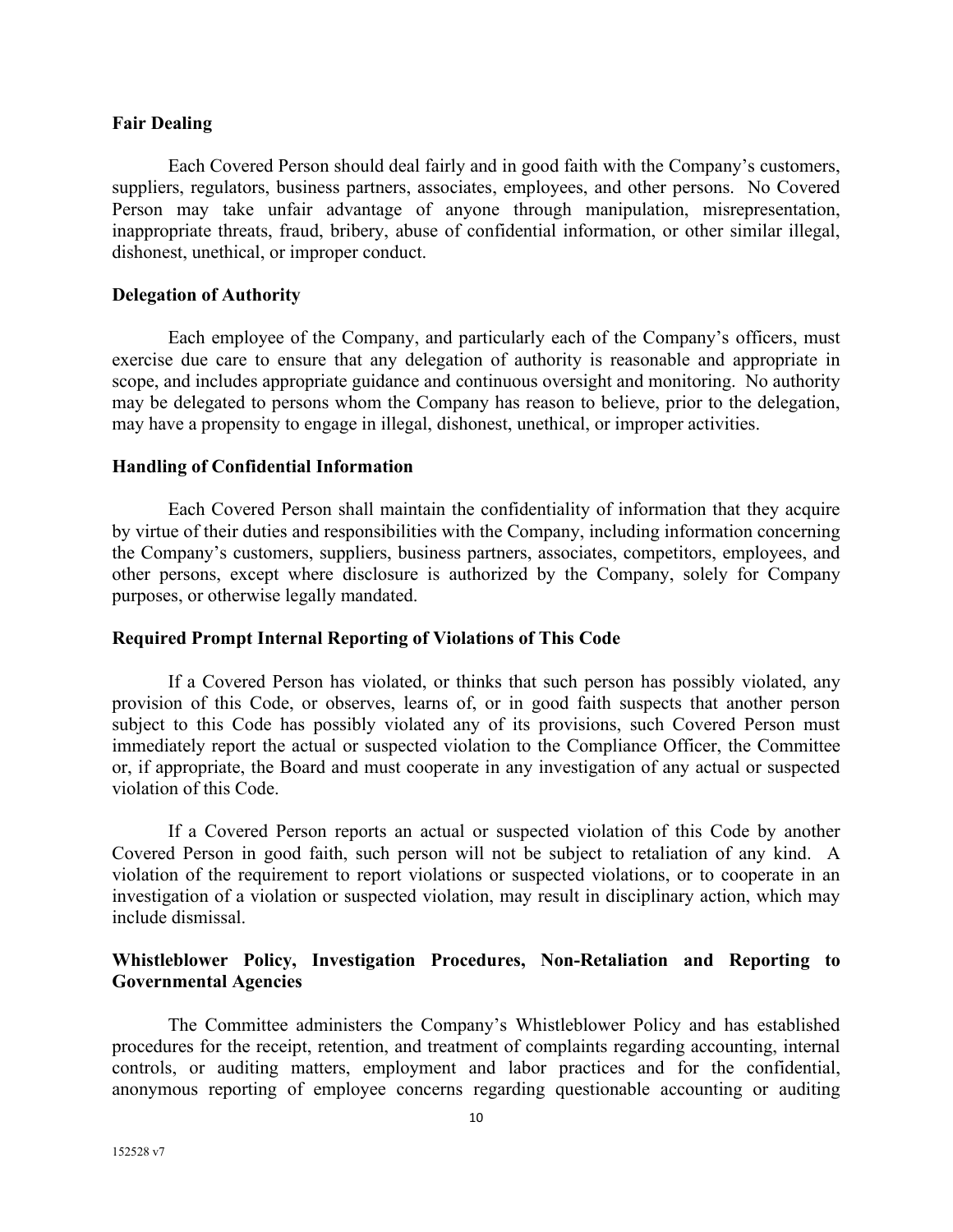#### **Fair Dealing**

Each Covered Person should deal fairly and in good faith with the Company's customers, suppliers, regulators, business partners, associates, employees, and other persons. No Covered Person may take unfair advantage of anyone through manipulation, misrepresentation, inappropriate threats, fraud, bribery, abuse of confidential information, or other similar illegal, dishonest, unethical, or improper conduct.

#### **Delegation of Authority**

Each employee of the Company, and particularly each of the Company's officers, must exercise due care to ensure that any delegation of authority is reasonable and appropriate in scope, and includes appropriate guidance and continuous oversight and monitoring. No authority may be delegated to persons whom the Company has reason to believe, prior to the delegation, may have a propensity to engage in illegal, dishonest, unethical, or improper activities.

#### **Handling of Confidential Information**

Each Covered Person shall maintain the confidentiality of information that they acquire by virtue of their duties and responsibilities with the Company, including information concerning the Company's customers, suppliers, business partners, associates, competitors, employees, and other persons, except where disclosure is authorized by the Company, solely for Company purposes, or otherwise legally mandated.

## **Required Prompt Internal Reporting of Violations of This Code**

If a Covered Person has violated, or thinks that such person has possibly violated, any provision of this Code, or observes, learns of, or in good faith suspects that another person subject to this Code has possibly violated any of its provisions, such Covered Person must immediately report the actual or suspected violation to the Compliance Officer, the Committee or, if appropriate, the Board and must cooperate in any investigation of any actual or suspected violation of this Code.

If a Covered Person reports an actual or suspected violation of this Code by another Covered Person in good faith, such person will not be subject to retaliation of any kind. A violation of the requirement to report violations or suspected violations, or to cooperate in an investigation of a violation or suspected violation, may result in disciplinary action, which may include dismissal.

# **Whistleblower Policy, Investigation Procedures, Non-Retaliation and Reporting to Governmental Agencies**

The Committee administers the Company's Whistleblower Policy and has established procedures for the receipt, retention, and treatment of complaints regarding accounting, internal controls, or auditing matters, employment and labor practices and for the confidential, anonymous reporting of employee concerns regarding questionable accounting or auditing